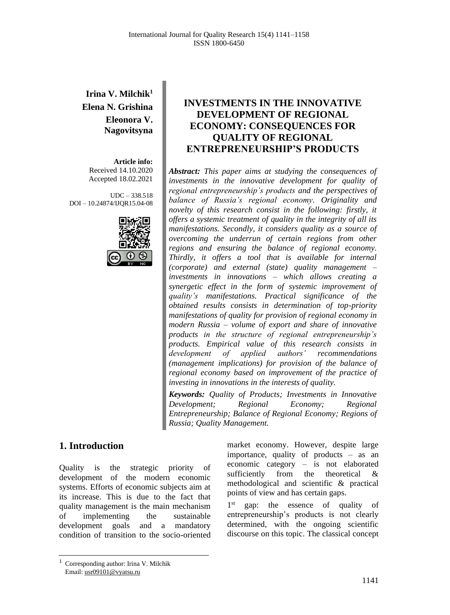## **Irina V. Milchik<sup>1</sup> Elena N. Grishina Eleonora V. Nagovitsyna**

**Article info:** Received 14.10.2020 Accepted 18.02.2021

UDC – 338.518 DOI – 10.24874/IJQR15.04-08



# **1. Introduction**

Quality is the strategic priority of development of the modern economic systems. Efforts of economic subjects aim at its increase. This is due to the fact that quality management is the main mechanism of implementing the sustainable development goals and a mandatory condition of transition to the socio-oriented

### **INVESTMENTS IN THE INNOVATIVE DEVELOPMENT OF REGIONAL ECONOMY: CONSEQUENCES FOR QUALITY OF REGIONAL ENTREPRENEURSHIP'S PRODUCTS**

*Abstract: This paper aims at studying the consequences of investments in the innovative development for quality of regional entrepreneurship's products and the perspectives of balance of Russia's regional economy. Originality and novelty of this research consist in the following: firstly, it offers a systemic treatment of quality in the integrity of all its manifestations. Secondly, it considers quality as a source of overcoming the underrun of certain regions from other regions and ensuring the balance of regional economy. Thirdly, it offers a tool that is available for internal (corporate) and external (state) quality management – investments in innovations – which allows creating a synergetic effect in the form of systemic improvement of quality's manifestations. Practical significance of the obtained results consists in determination of top-priority manifestations of quality for provision of regional economy in modern Russia – volume of export and share of innovative products in the structure of regional entrepreneurship's products. Empirical value of this research consists in development of applied authors' recommendations (management implications) for provision of the balance of regional economy based on improvement of the practice of investing in innovations in the interests of quality.*

*Keywords: Quality of Products; Investments in Innovative Development; Regional Economy; Regional Entrepreneurship; Balance of Regional Economy; Regions of Russia; Quality Management.*

> market economy. However, despite large importance, quality of products – as an economic category – is not elaborated sufficiently from the theoretical & methodological and scientific & practical points of view and has certain gaps.

> 1st gap: the essence of quality of entrepreneurship's products is not clearly determined, with the ongoing scientific discourse on this topic. The classical concept

<sup>1</sup> Corresponding author: Irina V. Milchik Email: usr09101@vyatsu.ru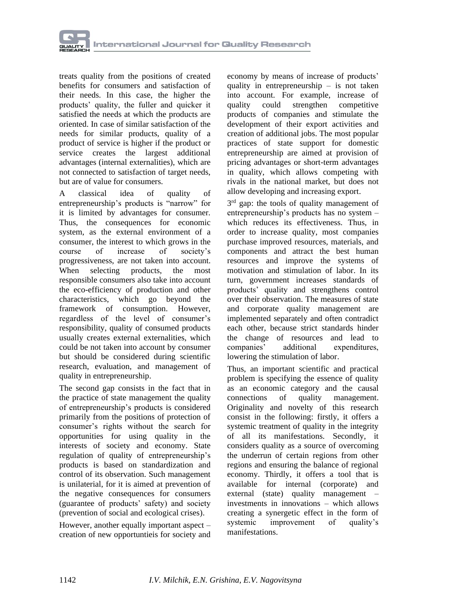

treats quality from the positions of created benefits for consumers and satisfaction of their needs. In this case, the higher the products' quality, the fuller and quicker it satisfied the needs at which the products are oriented. In case of similar satisfaction of the needs for similar products, quality of a product of service is higher if the product or service creates the largest additional advantages (internal externalities), which are not connected to satisfaction of target needs, but are of value for consumers.

A classical idea of quality of entrepreneurship's products is "narrow" for it is limited by advantages for consumer. Thus, the consequences for economic system, as the external environment of a consumer, the interest to which grows in the<br>course of increase of society's course of increase of society's progressiveness, are not taken into account. When selecting products, the most responsible consumers also take into account the eco-efficiency of production and other characteristics, which go beyond the framework of consumption. However, regardless of the level of consumer's responsibility, quality of consumed products usually creates external externalities, which could be not taken into account by consumer but should be considered during scientific research, evaluation, and management of quality in entrepreneurship.

The second gap consists in the fact that in the practice of state management the quality of entrepreneurship's products is considered primarily from the positions of protection of consumer's rights without the search for opportunities for using quality in the interests of society and economy. State regulation of quality of entrepreneurship's products is based on standardization and control of its observation. Such management is unilaterial, for it is aimed at prevention of the negative consequences for consumers (guarantee of products' safety) and society (prevention of social and ecological crises).

However, another equally important aspect – creation of new opportuntieis for society and economy by means of increase of products' quality in entrepreneurship – is not taken into account. For example, increase of quality could strengthen competitive products of companies and stimulate the development of their export activities and creation of additional jobs. The most popular practices of state support for domestic entrepreneurship are aimed at provision of pricing advantages or short-term advantages in quality, which allows competing with rivals in the national market, but does not allow developing and increasing export.

3<sup>rd</sup> gap: the tools of quality management of entrepreneurship's products has no system – which reduces its effectiveness. Thus, in order to increase quality, most companies purchase improved resources, materials, and components and attract the best human resources and improve the systems of motivation and stimulation of labor. In its turn, government increases standards of products' quality and strengthens control over their observation. The measures of state and corporate quality management are implemented separately and often contradict each other, because strict standards hinder the change of resources and lead to<br>companies' additional expenditures companies' additional expenditures, lowering the stimulation of labor.

Thus, an important scientific and practical problem is specifying the essence of quality as an economic category and the causal connections of quality management. Originality and novelty of this research consist in the following: firstly, it offers a systemic treatment of quality in the integrity of all its manifestations. Secondly, it considers quality as a source of overcoming the underrun of certain regions from other regions and ensuring the balance of regional economy. Thirdly, it offers a tool that is available for internal (corporate) and external (state) quality management – investments in innovations – which allows creating a synergetic effect in the form of systemic improvement of quality's manifestations.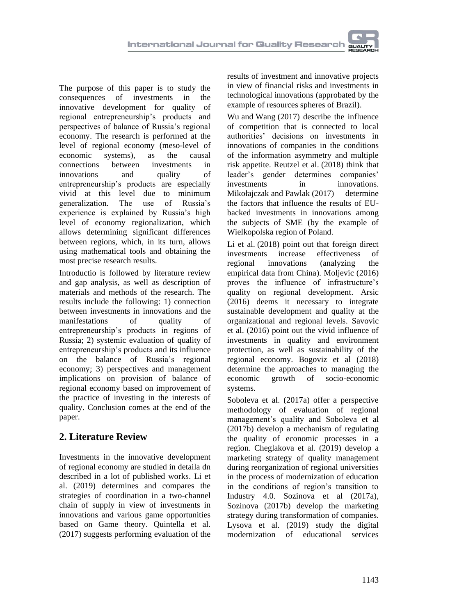The purpose of this paper is to study the consequences of investments in the innovative development for quality of regional entrepreneurship's products and perspectives of balance of Russia's regional economy. The research is performed at the level of regional economy (meso-level of economic systems), as the causal connections between investments in innovations and quality of entrepreneurship's products are especially vivid at this level due to minimum generalization. The use of Russia's experience is explained by Russia's high level of economy regionalization, which allows determining significant differences between regions, which, in its turn, allows using mathematical tools and obtaining the most precise research results.

Introductio is followed by literature review and gap analysis, as well as description of materials and methods of the research. The results include the following: 1) connection between investments in innovations and the manifestations of quality of entrepreneurship's products in regions of Russia; 2) systemic evaluation of quality of entrepreneurship's products and its influence on the balance of Russia's regional economy; 3) perspectives and management implications on provision of balance of regional economy based on improvement of the practice of investing in the interests of quality. Conclusion comes at the end of the paper.

## **2. Literature Review**

Investments in the innovative development of regional economy are studied in detaila dn described in a lot of published works. [Li](https://www.emerald.com/insight/search?q=Zonghuo%20Li) et al. (2019) determines and compares the strategies of coordination in a two-channel chain of supply in view of investments in innovations and various game opportunities based on Game theory. [Quintella](https://www.emerald.com/insight/search?q=Vitor%20da%20Mata%20Quintella) et al. (2017) suggests performing evaluation of the

results of investment and innovative projects in view of financial risks and investments in technological innovations (approbated by the example of resources spheres of Brazil).

[Wu](https://www.emerald.com/insight/search?q=Shaoyu%20Wu) and [Wang](https://www.emerald.com/insight/search?q=Dong%20Wang) (2017) describe the influence of competition that is connected to local authorities' decisions on investments in innovations of companies in the conditions of the information asymmetry and multiple risk appetite. [Reutzel](https://www.emerald.com/insight/search?q=Christopher%20R.%20Reutzel) et al. (2018) think that leader's gender determines companies' investments in innovations. [Mikołajczak](https://www.emerald.com/insight/search?q=Pawe%C5%82%20Miko%C5%82ajczak) and [Pawlak](https://www.emerald.com/insight/search?q=Jacek%20Pawlak) (2017) determine the factors that influence the results of EUbacked investments in innovations among the subjects of SME (by the example of Wielkopolska region of Poland.

[Li](https://www.emerald.com/insight/search?q=Zheng%20Li) et al. (2018) point out that foreign direct investments increase effectiveness of regional innovations (analyzing the empirical data from China). Moljevic (2016) proves the influence of infrastructure's quality on regional development. Arsic (2016) deems it necessary to integrate sustainable development and quality at the organizational and regional levels. Savovic et al. (2016) point out the vivid influence of investments in quality and environment protection, as well as sustainability of the regional economy. Bogoviz et al (2018) determine the approaches to managing the economic growth of socio-economic systems.

Soboleva et al. (2017a) offer a perspective methodology of evaluation of regional management's quality and Soboleva et al (2017b) develop a mechanism of regulating the quality of economic processes in a region. Cheglakova et al. (2019) develop a marketing strategy of quality management during reorganization of regional universities in the process of modernization of education in the conditions of region's transition to Industry 4.0. Sozinova et al (2017a), Sozinova (2017b) develop the marketing strategy during transformation of companies. Lysova et al. (2019) study the digital modernization of educational services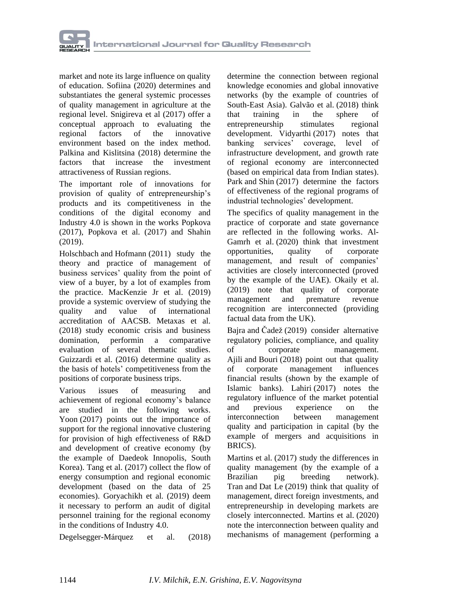

market and note its large influence on quality of education. Sofiina (2020) determines and substantiates the general systemic processes of quality management in agriculture at the regional level. Snigireva et al (2017) offer a conceptual approach to evaluating the regional factors of the innovative environment based on the index method. Palkina and Kislitsina (2018) determine the factors that increase the investment attractiveness of Russian regions.

The important role of innovations for provision of quality of entrepreneurship's products and its competitiveness in the conditions of the digital economy and Industry 4.0 is shown in the works Popkova (2017), [Popkova](https://proxylibrary.hse.ru:2073/authid/detail.uri?origin=resultslist&authorId=55671568200&zone=) et al. (2017) and Shahin (2019).

[Holschbach](https://www.emerald.com/insight/search?q=Elmar%20Holschbach) and [Hofmann](https://www.emerald.com/insight/search?q=Erik%20Hofmann) (2011) study the theory and practice of management of business services' quality from the point of view of a buyer, by a lot of examples from the practice. [MacKenzie](https://www.emerald.com/insight/search?q=William%20I.%20MacKenzie%20Jr) Jr et al. (2019) provide a systemic overview of studying the quality and value of international accreditation of AACSB. [Metaxas](https://www.emerald.com/insight/search?q=Ioannis%20N.%20Metaxas) et al. (2018) study economic crisis and business domination, performin a comparative evaluation of several thematic studies. [Guizzardi](https://www.emerald.com/insight/search?q=Andrea%20Guizzardi) et al. (2016) determine quality as the basis of hotels' competitiveness from the positions of corporate business trips.

Various issues of measuring and achievement of regional economy's balance are studied in the following works. [Yoon](https://www.emerald.com/insight/search?q=Donghun%20Yoon) (2017) points out the importance of support for the regional innovative clustering for provision of high effectiveness of R&D and development of creative economy (by the example of Daedeok Innopolis, South Korea). [Tang](https://www.emerald.com/insight/search?q=Bao-jun%20Tang) et al. (2017) collect the flow of energy consumption and regional economic development (based on the data of 25 economies). [Goryachikh](https://www.emerald.com/insight/search?q=Svetlana%20P.%20Goryachikh) et al. (2019) deem it necessary to perform an audit of digital personnel training for the regional economy in the conditions of Industry 4.0.

[Degelsegger-Márquez](https://www.emerald.com/insight/search?q=Alexander%20Degelsegger-M%C3%A1rquez) et al. (2018)

determine the connection between regional knowledge economies and global innovative networks (by the example of countries of South-East Asia). [Galvão](https://www.emerald.com/insight/search?q=Anderson%20Galv%C3%A3o) et al. (2018) think that training in the sphere of entrepreneurship stimulates regional development. [Vidyarthi](https://www.emerald.com/insight/search?q=Harishankar%20Vidyarthi) (2017) notes that banking services' coverage, level of infrastructure development, and growth rate of regional economy are interconnected (based on empirical data from Indian states). [Park](https://www.emerald.com/insight/search?q=Choo-Hui%20Park) and [Shin](https://www.emerald.com/insight/search?q=Jin-Kyo%20Shin) (2017) determine the factors of effectiveness of the regional programs of industrial technologies' development.

The specifics of quality management in the practice of corporate and state governance are reflected in the following works. [Al-](https://www.emerald.com/insight/search?q=Bakr%20Al-Gamrh)[Gamrh](https://www.emerald.com/insight/search?q=Bakr%20Al-Gamrh) et al. (2020) think that investment opportunities, quality of corporate management, and result of companies' activities are closely interconnected (proved by the example of the UAE). [Okaily](https://www.emerald.com/insight/search?q=Jihad%20Al%20Okaily) et al. (2019) note that quality of corporate management and premature revenue recognition are interconnected (providing factual data from the UK).

[Bajra](https://www.emerald.com/insight/search?q=Ujkan%20Bajra) and [Čadež](https://www.emerald.com/insight/search?q=Simon%20%C4%8Cade%C5%BE) (2019) consider alternative regulatory policies, compliance, and quality of corporate management. [Ajili](https://www.emerald.com/insight/search?q=Hana%20Ajili) and [Bouri](https://www.emerald.com/insight/search?q=Abdelfettah%20Bouri) (2018) point out that quality of corporate management influences financial results (shown by the example of Islamic banks). [Lahiri](https://www.emerald.com/insight/search?q=Somnath%20Lahiri) (2017) notes the regulatory influence of the market potential and previous experience on the interconnection between management quality and participation in capital (by the example of mergers and acquisitions in BRICS).

[Martins](https://www.emerald.com/insight/search?q=Franco%20M%C3%BCller%20Martins) et al. (2017) study the differences in quality management (by the example of a Brazilian pig breeding network). [Tran](https://www.emerald.com/insight/search?q=Nam%20Hoai%20Tran) and [Dat](https://www.emerald.com/insight/search?q=Chi%20Dat%20Le) Le (2019) think that quality of management, direct foreign investments, and entrepreneurship in developing markets are closely interconnected. [Martins](https://www.emerald.com/insight/search?q=Saturnina%20Alves%20da%20Silva%20Martins) et al. (2020) note the interconnection between quality and mechanisms of management (performing a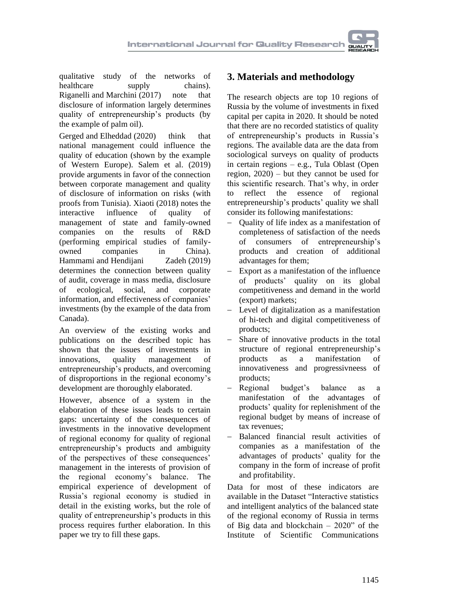qualitative study of the networks of healthcare supply chains). [Riganelli](https://www.emerald.com/insight/search?q=Chiara%20Riganelli) and [Marchini](https://www.emerald.com/insight/search?q=Andrea%20Marchini) (2017) note that disclosure of information largely determines quality of entrepreneurship's products (by the example of palm oil).

[Gerged](https://www.emerald.com/insight/search?q=Ali%20Gerged) and [Elheddad](https://www.emerald.com/insight/search?q=Mohamed%20Elheddad) (2020) think that national management could influence the quality of education (shown by the example of Western Europe). [Salem](https://www.emerald.com/insight/search?q=Issal%20Haj%20Salem) et al. (2019) provide arguments in favor of the connection between corporate management and quality of disclosure of information on risks (with proofs from Tunisia). Xiaoti (2018) notes the interactive influence of quality of management of state and family-owned companies on the results of R&D (performing empirical studies of familyowned companies in China). [Hammami](https://www.emerald.com/insight/search?q=Ahmad%20Hammami) and [Hendijani](https://www.emerald.com/insight/search?q=Mohammad%20Hendijani%20Zadeh) Zadeh (2019) determines the connection between quality of audit, coverage in mass media, disclosure of ecological, social, and corporate information, and effectiveness of companies' investments (by the example of the data from Canada).

An overview of the existing works and publications on the described topic has shown that the issues of investments in innovations, quality management of entrepreneurship's products, and overcoming of disproportions in the regional economy's development are thoroughly elaborated.

However, absence of a system in the elaboration of these issues leads to certain gaps: uncertainty of the consequences of investments in the innovative development of regional economy for quality of regional entrepreneurship's products and ambiguity of the perspectives of these consequences' management in the interests of provision of the regional economy's balance. The empirical experience of development of Russia's regional economy is studied in detail in the existing works, but the role of quality of entrepreneurship's products in this process requires further elaboration. In this paper we try to fill these gaps.

### **3. Materials and methodology**

The research objects are top 10 regions of Russia by the volume of investments in fixed capital per capita in 2020. It should be noted that there are no recorded statistics of quality of entrepreneurship's products in Russia's regions. The available data are the data from sociological surveys on quality of products in certain regions – e.g., Tula Oblast (Open region, 2020) – but they cannot be used for this scientific research. That's why, in order to reflect the essence of regional entrepreneurship's products' quality we shall consider its following manifestations:

- − Quality of life index as a manifestation of completeness of satisfaction of the needs of consumers of entrepreneurship's products and creation of additional advantages for them;
- − Export as a manifestation of the influence of products' quality on its global competitiveness and demand in the world (export) markets;
- Level of digitalization as a manifestation of hi-tech and digital competitiveness of products;
- − Share of innovative products in the total structure of regional entrepreneurship's products as a manifestation of innovativeness and progressivneess of products;
- − Regional budget's balance as a manifestation of the advantages of products' quality for replenishment of the regional budget by means of increase of tax revenues;
- − Balanced financial result activities of companies as a manifestation of the advantages of products' quality for the company in the form of increase of profit and profitability.

Data for most of these indicators are available in the [Dataset "Interactive statistics](https://www.archilab.online/en/data/regional-economy)  [and intelligent analytics of the balanced state](https://www.archilab.online/en/data/regional-economy)  [of the regional economy of Russia in terms](https://www.archilab.online/en/data/regional-economy)  [of Big data and blockchain –](https://www.archilab.online/en/data/regional-economy) 2020" of the Institute of Scientific Communications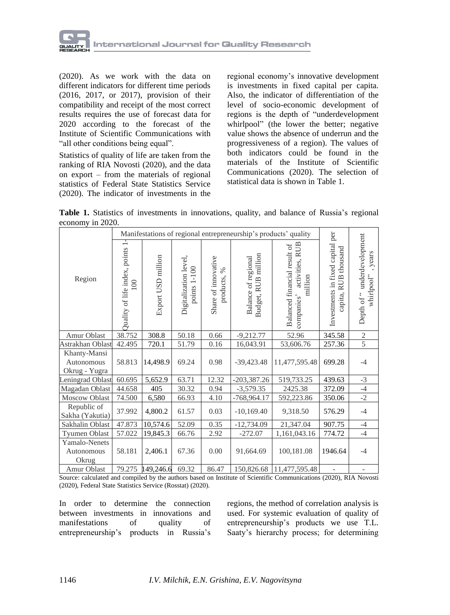

(2020). As we work with the data on different indicators for different time periods (2016, 2017, or 2017), provision of their compatibility and receipt of the most correct results requires the use of forecast data for 2020 according to the forecast of the Institute of Scientific Communications with "all other conditions being equal".

Statistics of quality of life are taken from the ranking of RIA Novosti (2020), and the data on export – from the materials of regional statistics of Federal State Statistics Service (2020). The indicator of investments in the

regional economy's innovative development is investments in fixed capital per capita. Also, the indicator of differentiation of the level of socio-economic development of regions is the depth of "underdevelopment whirlpool" (the lower the better; negative value shows the absence of underrun and the progressiveness of a region). The values of both indicators could be found in the materials of the Institute of Scientific Communications (2020). The selection of statistical data is shown in Table 1.

**Table 1.** Statistics of investments in innovations, quality, and balance of Russia's regional economy in 2020.

|                                             | Manifestations of regional entrepreneurship's products' quality |                    |                                       |                                          |                                                         |                                                                          |                                                                    |                                                   |
|---------------------------------------------|-----------------------------------------------------------------|--------------------|---------------------------------------|------------------------------------------|---------------------------------------------------------|--------------------------------------------------------------------------|--------------------------------------------------------------------|---------------------------------------------------|
| Region                                      | ÷<br>Quality of life index, points<br>100                       | Export USD million | Digitalization level,<br>points 1-100 | Share of innovative<br>$\%$<br>products, | million<br>Balance of regional<br><b>RUB</b><br>Budget, | activities, RUB<br>Balanced financial result of<br>million<br>companies' | Investments in fixed capital per<br><b>RUB</b> thousand<br>capita, | Depth of "underdevelopment<br>years<br>whirlpool" |
| Amur Oblast                                 | 38.752                                                          | 308.8              | 50.18                                 | 0.66                                     | $-9,212.77$                                             | 52.96                                                                    | 345.58                                                             | $\sqrt{2}$                                        |
| Astrakhan Oblast                            | 42.495                                                          | 720.1              | 51.79                                 | 0.16                                     | 16,043.91                                               | 53,606.76                                                                | 257.36                                                             | 5                                                 |
| Khanty-Mansi<br>Autonomous<br>Okrug - Yugra | 58.813                                                          | 14,498.9           | 69.24                                 | 0.98                                     | $-39,423.48$                                            | 11,477,595.48                                                            | 699.28                                                             | $-4$                                              |
| Leningrad Oblast                            | 60.695                                                          | 5,652.9            | 63.71                                 | 12.32                                    | $-203,387.26$                                           | 519,733.25                                                               | 439.63                                                             | $-3$                                              |
| Magadan Oblast                              | 44.658                                                          | 405                | 30.32                                 | 0.94                                     | $-3,579.35$                                             | 2425.38                                                                  | 372.09                                                             | $-4$                                              |
| Moscow Oblast                               | 74.500                                                          | 6,580              | 66.93                                 | 4.10                                     | -768,964.17                                             | 592,223.86                                                               | 350.06                                                             | $-2$                                              |
| Republic of<br>Sakha (Yakutia)              | 37.992                                                          | 4,800.2            | 61.57                                 | 0.03                                     | $-10,169.40$                                            | 9,318.50                                                                 | 576.29                                                             | $-4$                                              |
| Sakhalin Oblast                             | 47.873                                                          | 10,574.6           | 52.09                                 | 0.35                                     | $-12,734.09$                                            | 21,347.04                                                                | 907.75                                                             | $-4$                                              |
| Tyumen Oblast                               | 57.022                                                          | 19,845.3           | 66.76                                 | 2.92                                     | $-272.07$                                               | 1,161,043.16                                                             | 774.72                                                             | $-4$                                              |
| Yamalo-Nenets<br>Autonomous<br>Okrug        | 58.181                                                          | 2,406.1            | 67.36                                 | 0.00                                     | 91,664.69                                               | 100,181.08                                                               | 1946.64                                                            | $-4$                                              |
| Amur Oblast                                 | 79.275                                                          | 149,246.6          | 69.32                                 | 86.47                                    | 150,826.68                                              | 11,477,595.48                                                            | $\overline{\phantom{0}}$                                           |                                                   |

Source: calculated and compiled by the authors based on Institute of Scientific Communications (2020), RIA Novosti (2020), Federal State Statistics Service (Rosstat) (2020).

In order to determine the connection between investments in innovations and manifestations of quality of entrepreneurship's products in Russia's regions, the method of correlation analysis is used. For systemic evaluation of quality of entrepreneurship's products we use T.L. Saaty's hierarchy process; for determining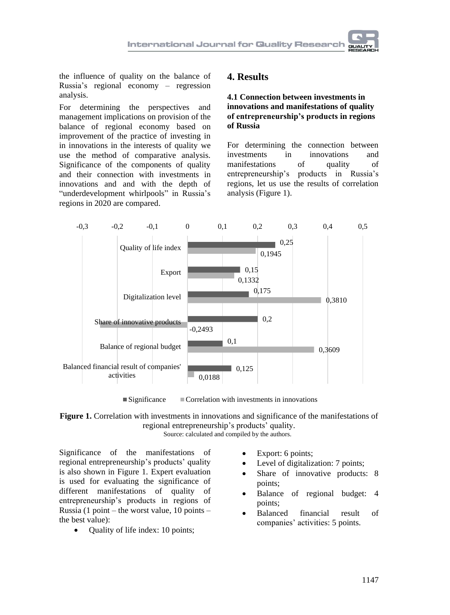the influence of quality on the balance of Russia's regional economy – regression analysis.

For determining the perspectives and management implications on provision of the balance of regional economy based on improvement of the practice of investing in in innovations in the interests of quality we use the method of comparative analysis. Significance of the components of quality and their connection with investments in innovations and and with the depth of "underdevelopment whirlpools" in Russia's regions in 2020 are compared.

### **4. Results**

#### **4.1 Connection between investments in innovations and manifestations of quality of entrepreneurship's products in regions of Russia**

For determining the connection between<br>investments in innovations and in innovations and manifestations of quality of entrepreneurship's products in Russia's regions, let us use the results of correlation analysis (Figure 1).



 $\blacksquare$  Significance  $\blacksquare$  Correlation with investments in innovations

**Figure 1.** Correlation with investments in innovations and significance of the manifestations of regional entrepreneurship's products' quality. Source: calculated and compiled by the authors.

Significance of the manifestations of regional entrepreneurship's products' quality is also shown in Figure 1. Expert evaluation is used for evaluating the significance of different manifestations of quality of entrepreneurship's products in regions of Russia (1 point – the worst value, 10 points – the best value):

• Ouality of life index: 10 points;

- Export: 6 points;
- Level of digitalization: 7 points;
- Share of innovative products: 8 points;
- Balance of regional budget: 4 points;
- Balanced financial result of companies' activities: 5 points.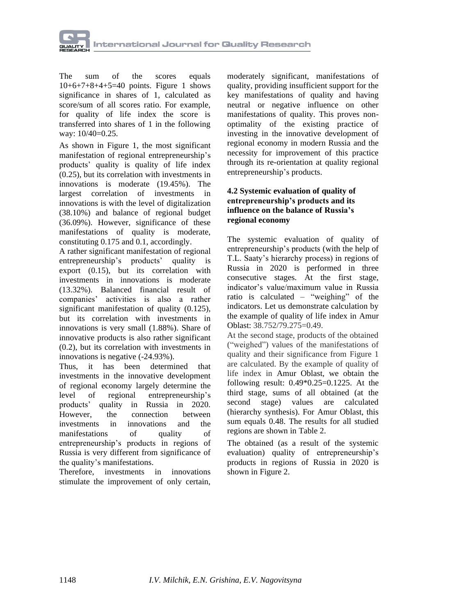

The sum of the scores equals 10+6+7+8+4+5=40 points. Figure 1 shows significance in shares of 1, calculated as score/sum of all scores ratio. For example, for quality of life index the score is transferred into shares of 1 in the following way: 10/40=0.25.

As shown in Figure 1, the most significant manifestation of regional entrepreneurship's products' quality is quality of life index (0.25), but its correlation with investments in innovations is moderate (19.45%). The largest correlation of investments in innovations is with the level of digitalization (38.10%) and balance of regional budget (36.09%). However, significance of these manifestations of quality is moderate, constituting 0.175 and 0.1, accordingly.

A rather significant manifestation of regional entrepreneurship's products' quality is export (0.15), but its correlation with investments in innovations is moderate (13.32%). Balanced financial result of companies' activities is also a rather significant manifestation of quality (0.125), but its correlation with investments in innovations is very small (1.88%). Share of innovative products is also rather significant (0.2), but its correlation with investments in innovations is negative (-24.93%).

Thus, it has been determined that investments in the innovative development of regional economy largely determine the level of regional entrepreneurship's products' quality in Russia in 2020. However, the connection between investments in innovations and the manifestations of quality of entrepreneurship's products in regions of Russia is very different from significance of the quality's manifestations.

Therefore, investments in innovations stimulate the improvement of only certain,

moderately significant, manifestations of quality, providing insufficient support for the key manifestations of quality and having neutral or negative influence on other manifestations of quality. This proves nonoptimality of the existing practice of investing in the innovative development of regional economy in modern Russia and the necessity for improvement of this practice through its re-orientation at quality regional entrepreneurship's products.

#### **4.2 Systemic evaluation of quality of entrepreneurship's products and its influence on the balance of Russia's regional economy**

The systemic evaluation of quality of entrepreneurship's products (with the help of T.L. Saaty's hierarchy process) in regions of Russia in 2020 is performed in three consecutive stages. At the first stage, indicator's value/maximum value in Russia ratio is calculated – "weighing" of the indicators. Let us demonstrate calculation by the example of quality of life index in Amur Oblast: 38.752/79.275=0.49.

At the second stage, products of the obtained ("weighed") values of the manifestations of quality and their significance from Figure 1 are calculated. By the example of quality of life index in Amur Oblast, we obtain the following result:  $0.49*0.25=0.1225$ . At the third stage, sums of all obtained (at the second stage) values are calculated (hierarchy synthesis). For Amur Oblast, this sum equals 0.48. The results for all studied regions are shown in Table 2.

The obtained (as a result of the systemic evaluation) quality of entrepreneurship's products in regions of Russia in 2020 is shown in Figure 2.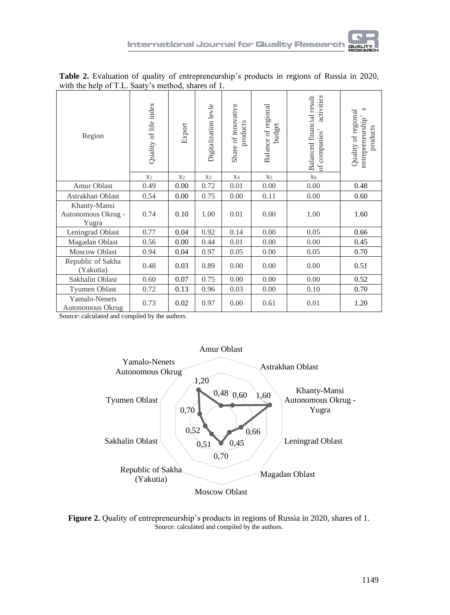| Region                                      | Quality of life index | Export         | Digitalization levle | Share of innovative<br>products | Balance of regional<br>budget | Balanced financial result<br>activities<br>of companies' | $\infty$<br>Quality of regional<br>entrepreneurship'<br>products |
|---------------------------------------------|-----------------------|----------------|----------------------|---------------------------------|-------------------------------|----------------------------------------------------------|------------------------------------------------------------------|
|                                             | X <sub>1</sub>        | X <sub>2</sub> | X3                   | X <sub>4</sub>                  | X <sub>5</sub>                | $X_6$                                                    |                                                                  |
| Amur Oblast                                 | 0.49                  | 0.00           | 0.72                 | 0.01                            | 0.00                          | 0.00                                                     | 0.48                                                             |
| Astrakhan Oblast                            | 0.54                  | 0.00           | 0.75                 | 0.00                            | 0.11                          | 0.00                                                     | 0.60                                                             |
| Khanty-Mansi<br>Autonomous Okrug -<br>Yugra | 0.74                  | 0.10           | 1.00                 | 0.01                            | 0.00                          | 1.00                                                     | 1.60                                                             |
| Leningrad Oblast                            | 0.77                  | 0.04           | 0.92                 | 0.14                            | 0.00                          | 0.05                                                     | 0.66                                                             |
| Magadan Oblast                              | 0.56                  | 0.00           | 0.44                 | 0.01                            | 0.00                          | 0.00                                                     | 0.45                                                             |
| <b>Moscow Oblast</b>                        | 0.94                  | 0.04           | 0.97                 | 0.05                            | 0.00                          | 0.05                                                     | 0.70                                                             |
| Republic of Sakha<br>(Yakutia)              | 0.48                  | 0.03           | 0.89                 | 0.00                            | 0.00                          | 0.00                                                     | 0.51                                                             |
| Sakhalin Oblast                             | 0.60                  | 0.07           | 0.75                 | 0.00                            | 0.00                          | 0.00                                                     | 0.52                                                             |
| <b>Tyumen Oblast</b>                        | 0.72                  | 0.13           | 0.96                 | 0.03                            | 0.00                          | 0.10                                                     | 0.70                                                             |
| Yamalo-Nenets<br>Autonomous Okrug           | 0.73                  | 0.02           | 0.97                 | 0.00                            | 0.61                          | 0.01                                                     | 1.20                                                             |

**Table 2.** Evaluation of quality of entrepreneurship's products in regions of Russia in 2020, with the help of T.L. Saaty's method, shares of 1.

Source: calculated and compiled by the authors.



**Figure 2.** Quality of entrepreneurship's products in regions of Russia in 2020, shares of 1. Source: calculated and compiled by the authors.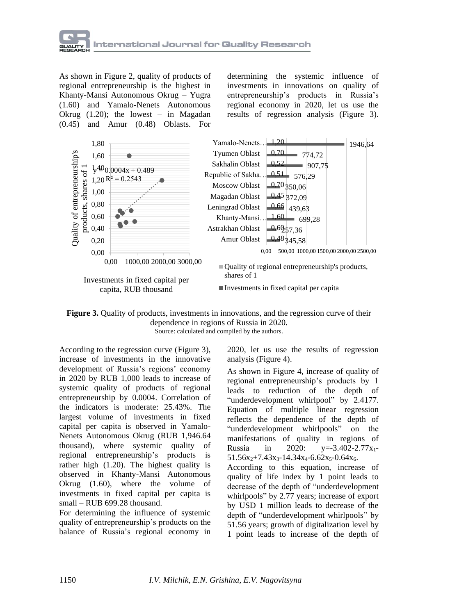

As shown in Figure 2, quality of products of regional entrepreneurship is the highest in Khanty-Mansi Autonomous Okrug – Yugra (1.60) and Yamalo-Nenets Autonomous Okrug (1.20); the lowest – in Magadan (0.45) and Amur (0.48) Oblasts. For

determining the systemic influence of investments in innovations on quality of entrepreneurship's products in Russia's regional economy in 2020, let us use the results of regression analysis (Figure 3).



**Figure 3.** Quality of products, investments in innovations, and the regression curve of their dependence in regions of Russia in 2020. Source: calculated and compiled by the authors.

According to the regression curve (Figure 3), increase of investments in the innovative development of Russia's regions' economy in 2020 by RUB 1,000 leads to increase of systemic quality of products of regional entrepreneurship by 0.0004. Correlation of the indicators is moderate: 25.43%. The largest volume of investments in fixed capital per capita is observed in Yamalo-Nenets Autonomous Okrug (RUB 1,946.64 thousand), where systemic quality of regional entrepreneurship's products is rather high (1.20). The highest quality is observed in Khanty-Mansi Autonomous Okrug (1.60), where the volume of investments in fixed capital per capita is small – RUB 699.28 thousand.

For determining the influence of systemic quality of entrepreneurship's products on the balance of Russia's regional economy in 2020, let us use the results of regression analysis (Figure 4).

As shown in Figure 4, increase of quality of regional entrepreneurship's products by 1 leads to reduction of the depth of "underdevelopment whirlpool" by 2.4177. Equation of multiple linear regression reflects the dependence of the depth of "underdevelopment whirlpools" on the manifestations of quality in regions of Russia in 2020:  $y=-3.402-2.77x_1$ - $51.56x_2+7.43x_3-14.34x_4-6.62x_5-0.64x_6.$ 

According to this equation, increase of quality of life index by 1 point leads to decrease of the depth of "underdevelopment whirlpools" by 2.77 years; increase of export by USD 1 million leads to decrease of the depth of "underdevelopment whirlpools" by 51.56 years; growth of digitalization level by 1 point leads to increase of the depth of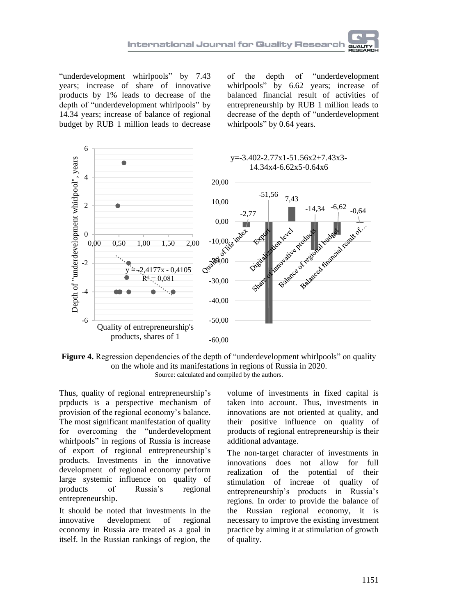"underdevelopment whirlpools" by 7.43 years; increase of share of innovative products by 1% leads to decrease of the depth of "underdevelopment whirlpools" by 14.34 years; increase of balance of regional budget by RUB 1 million leads to decrease

of the depth of "underdevelopment whirlpools" by 6.62 years; increase of balanced financial result of activities of entrepreneurship by RUB 1 million leads to decrease of the depth of "underdevelopment whirlpools" by 0.64 years.



**Figure** 4. Regression dependencies of the depth of "underdevelopment whirlpools" on quality on the whole and its manifestations in regions of Russia in 2020. Source: calculated and compiled by the authors.

Thus, quality of regional entrepreneurship's prpducts is a perspective mechanism of provision of the regional economy's balance. The most significant manifestation of quality for overcoming the "underdevelopment whirlpools" in regions of Russia is increase of export of regional entrepreneurship's products. Investments in the innovative development of regional economy perform large systemic influence on quality of products of Russia's regional entrepreneurship.

It should be noted that investments in the innovative development of regional economy in Russia are treated as a goal in itself. In the Russian rankings of region, the

volume of investments in fixed capital is taken into account. Thus, investments in innovations are not oriented at quality, and their positive influence on quality of products of regional entrepreneurship is their additional advantage.

The non-target character of investments in innovations does not allow for full realization of the potential of their stimulation of increae of quality of entrepreneurship's products in Russia's regions. In order to provide the balance of the Russian regional economy, it is necessary to improve the existing investment practice by aiming it at stimulation of growth of quality.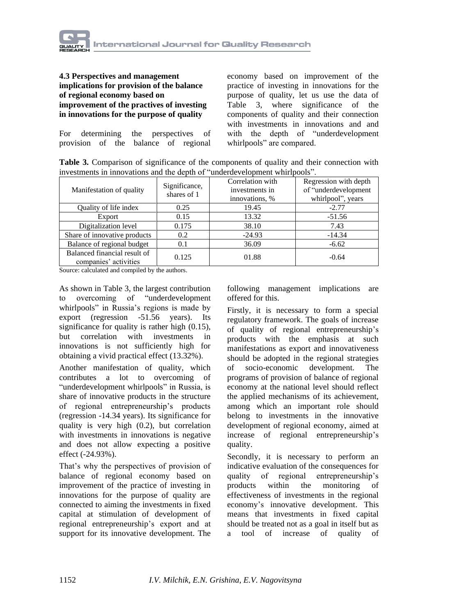

#### **4.3 Perspectives and management implications for provision of the balance of regional economy based on improvement of the practives of investing in innovations for the purpose of quality**

For determining the perspectives of provision of the balance of regional

economy based on improvement of the practice of investing in innovations for the purpose of quality, let us use the data of Table 3, where significance of the components of quality and their connection with investments in innovations and and with the depth of "underdevelopment whirlpools" are compared.

**Table 3.** Comparison of significance of the components of quality and their connection with investments in innovations and the depth of "underdevelopment whirlpools".

| Manifestation of quality                              | Significance,<br>shares of 1 | Correlation with<br>investments in<br>innovations, % | Regression with depth<br>of "underdevelopment<br>whirlpool", years |
|-------------------------------------------------------|------------------------------|------------------------------------------------------|--------------------------------------------------------------------|
| Quality of life index                                 | 0.25                         | 19.45                                                | $-2.77$                                                            |
| Export                                                | 0.15                         | 13.32                                                | $-51.56$                                                           |
| Digitalization level                                  | 0.175                        | 38.10                                                | 7.43                                                               |
| Share of innovative products                          | 0.2                          | $-24.93$                                             | $-14.34$                                                           |
| Balance of regional budget                            | 0.1                          | 36.09                                                | $-6.62$                                                            |
| Balanced financial result of<br>companies' activities | 0.125                        | 01.88                                                | $-0.64$                                                            |

Source: calculated and compiled by the authors.

As shown in Table 3, the largest contribution to overcoming of "underdevelopment whirlpools" in Russia's regions is made by export (regression -51.56 years). Its significance for quality is rather high (0.15), but correlation with investments in innovations is not sufficiently high for obtaining a vivid practical effect (13.32%).

Another manifestation of quality, which contributes a lot to overcoming of "underdevelopment whirlpools" in Russia, is share of innovative products in the structure of regional entrepreneurship's products (regression -14.34 years). Its significance for quality is very high (0.2), but correlation with investments in innovations is negative and does not allow expecting a positive effect (-24.93%).

That's why the perspectives of provision of balance of regional economy based on improvement of the practice of investing in innovations for the purpose of quality are connected to aiming the investments in fixed capital at stimulation of development of regional entrepreneurship's export and at support for its innovative development. The

following management implications are offered for this.

Firstly, it is necessary to form a special regulatory framework. The goals of increase of quality of regional entrepreneurship's products with the emphasis at such manifestations as export and innovativeness should be adopted in the regional strategies of socio-economic development. The programs of provision of balance of regional economy at the national level should reflect the applied mechanisms of its achievement, among which an important role should belong to investments in the innovative development of regional economy, aimed at increase of regional entrepreneurship's quality.

Secondly, it is necessary to perform an indicative evaluation of the consequences for quality of regional entrepreneurship's products within the monitoring of effectiveness of investments in the regional economy's innovative development. This means that investments in fixed capital should be treated not as a goal in itself but as a tool of increase of quality of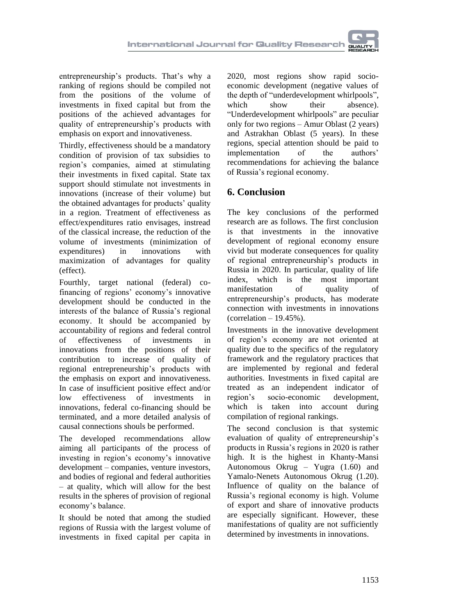entrepreneurship's products. That's why a ranking of regions should be compiled not from the positions of the volume of investments in fixed capital but from the positions of the achieved advantages for quality of entrepreneurship's products with emphasis on export and innovativeness.

Thirdly, effectiveness should be a mandatory condition of provision of tax subsidies to region's companies, aimed at stimulating their investments in fixed capital. State tax support should stimulate not investments in innovations (increase of their volume) but the obtained advantages for products' quality in a region. Treatment of effectiveness as effect/expenditures ratio envisages, instread of the classical increase, the reduction of the volume of investments (minimization of expenditures) in innovations with maximization of advantages for quality (effect).

Fourthly, target national (federal) cofinancing of regions' economy's innovative development should be conducted in the interests of the balance of Russia's regional economy. It should be accompanied by accountability of regions and federal control of effectiveness of investments in innovations from the positions of their contribution to increase of quality of regional entrepreneurship's products with the emphasis on export and innovativeness. In case of insufficient positive effect and/or low effectiveness of investments in innovations, federal co-financing should be terminated, and a more detailed analysis of causal connections shouls be performed.

The developed recommendations allow aiming all participants of the process of investing in region's economy's innovative development – companies, venture investors, and bodies of regional and federal authorities – at quality, which will allow for the best results in the spheres of provision of regional economy's balance.

It should be noted that among the studied regions of Russia with the largest volume of investments in fixed capital per capita in

2020, most regions show rapid socioeconomic development (negative values of the depth of "underdevelopment whirlpools", which show their absence). "Underdevelopment whirlpools" are peculiar only for two regions – Amur Oblast (2 years) and Astrakhan Oblast (5 years). In these regions, special attention should be paid to implementation of the authors' recommendations for achieving the balance of Russia's regional economy.

## **6. Conclusion**

The key conclusions of the performed research are as follows. The first conclusion is that investments in the innovative development of regional economy ensure vivid but moderate consequences for quality of regional entrepreneurship's products in Russia in 2020. In particular, quality of life index, which is the most important manifestation of quality of entrepreneurship's products, has moderate connection with investments in innovations  $(correlation - 19.45%)$ 

Investments in the innovative development of region's economy are not oriented at quality due to the specifics of the regulatory framework and the regulatory practices that are implemented by regional and federal authorities. Investments in fixed capital are treated as an independent indicator of region's socio-economic development, which is taken into account during compilation of regional rankings.

The second conclusion is that systemic evaluation of quality of entrepreneurship's products in Russia's regions in 2020 is rather high. It is the highest in Khanty-Mansi Autonomous Okrug – Yugra (1.60) and Yamalo-Nenets Autonomous Okrug (1.20). Influence of quality on the balance of Russia's regional economy is high. Volume of export and share of innovative products are especially significant. However, these manifestations of quality are not sufficiently determined by investments in innovations.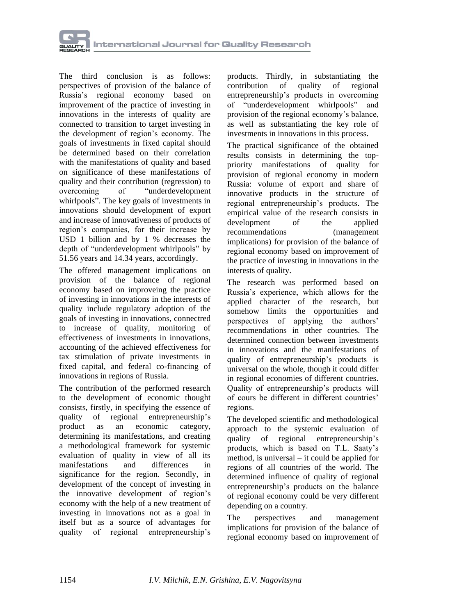

The third conclusion is as follows: perspectives of provision of the balance of Russia's regional economy based on improvement of the practice of investing in innovations in the interests of quality are connected to transition to target investing in the development of region's economy. The goals of investments in fixed capital should be determined based on their correlation with the manifestations of quality and based on significance of these manifestations of quality and their contribution (regression) to overcoming of "underdevelopment whirlpools". The key goals of investments in innovations should development of export and increase of innovativeness of products of region's companies, for their increase by USD 1 billion and by 1 % decreases the depth of "underdevelopment whirlpools" by 51.56 years and 14.34 years, accordingly.

The offered management implications on provision of the balance of regional economy based on improveing the practice of investing in innovations in the interests of quality include regulatory adoption of the goals of investing in innovations, connectred to increase of quality, monitoring of effectiveness of investments in innovations, accounting of the achieved effectiveness for tax stimulation of private investments in fixed capital, and federal co-financing of innovations in regions of Russia.

The contribution of the performed research to the development of economic thought consists, firstly, in specifying the essence of quality of regional entrepreneurship's product as an economic category, determining its manifestations, and creating a methodological framework for systemic evaluation of quality in view of all its manifestations and differences in significance for the region. Secondly, in development of the concept of investing in the innovative development of region's economy with the help of a new treatment of investing in innovations not as a goal in itself but as a source of advantages for quality of regional entrepreneurship's

products. Thirdly, in substantiating the contribution of quality of regional entrepreneurship's products in overcoming of "underdevelopment whirlpools" and provision of the regional economy's balance, as well as substantiating the key role of investments in innovations in this process.

The practical significance of the obtained results consists in determining the toppriority manifestations of quality for provision of regional economy in modern Russia: volume of export and share of innovative products in the structure of regional entrepreneurship's products. The empirical value of the research consists in development of the applied recommendations (management implications) for provision of the balance of regional economy based on improvement of the practice of investing in innovations in the interests of quality.

The research was performed based on Russia's experience, which allows for the applied character of the research, but somehow limits the opportunities and perspectives of applying the authors' recommendations in other countries. The determined connection between investments in innovations and the manifestations of quality of entrepreneurship's products is universal on the whole, though it could differ in regional economies of different countries. Quality of entrepreneurship's products will of cours be different in different countries' regions.

The developed scientific and methodological approach to the systemic evaluation of quality of regional entrepreneurship's products, which is based on T.L. Saaty's method, is universal – it could be applied for regions of all countries of the world. The determined influence of quality of regional entrepreneurship's products on the balance of regional economy could be very different depending on a country.

The perspectives and management implications for provision of the balance of regional economy based on improvement of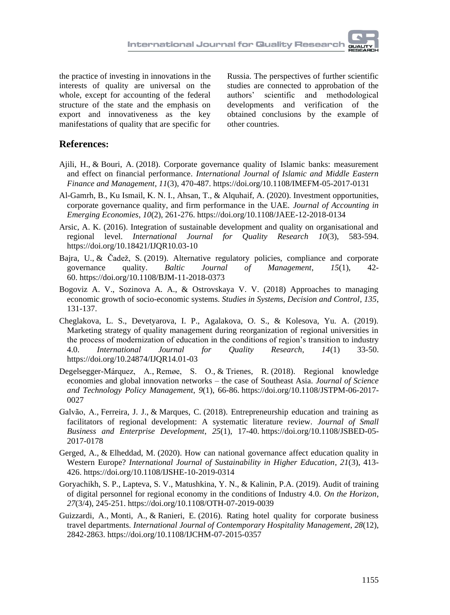the practice of investing in innovations in the interests of quality are universal on the whole, except for accounting of the federal structure of the state and the emphasis on export and innovativeness as the key manifestations of quality that are specific for

Russia. The perspectives of further scientific studies are connected to approbation of the authors' scientific and methodological developments and verification of the obtained conclusions by the example of other countries.

### **References:**

- [Ajili, H.,](https://www.emerald.com/insight/search?q=Hana%20Ajili) & [Bouri, A.](https://www.emerald.com/insight/search?q=Abdelfettah%20Bouri) (2018). Corporate governance quality of Islamic banks: measurement and effect on financial performance. *[International Journal of Islamic and Middle Eastern](https://www.emerald.com/insight/publication/issn/1753-8394)  [Finance and Management](https://www.emerald.com/insight/publication/issn/1753-8394)*, *11*(3), 470-487. <https://doi.org/10.1108/IMEFM-05-2017-0131>
- [Al-Gamrh, B.,](https://www.emerald.com/insight/search?q=Bakr%20Al-Gamrh) [Ku Ismail, K. N. I.,](https://www.emerald.com/insight/search?q=Ku%20Nor%20Izah%20Ku%20Ismail) [Ahsan, T.,](https://www.emerald.com/insight/search?q=Tanveer%20Ahsan) & [Alquhaif, A.](https://www.emerald.com/insight/search?q=Abdulsalam%20Alquhaif) (2020). Investment opportunities, corporate governance quality, and firm performance in the UAE. *[Journal of Accounting in](https://www.emerald.com/insight/publication/issn/2042-1168)  [Emerging Economies](https://www.emerald.com/insight/publication/issn/2042-1168)*, *10*(2), 261-276. <https://doi.org/10.1108/JAEE-12-2018-0134>
- Arsic, A. K. (2016). Integration of sustainable development and quality on organisational and regional level. *International Journal for Quality Research 10*(3), 583-594. https://doi.org/10.18421/IJQR10.03-10
- [Bajra, U.,](https://www.emerald.com/insight/search?q=Ujkan%20Bajra) & [Čadež, S.](https://www.emerald.com/insight/search?q=Simon%20%C4%8Cade%C5%BE) (2019). Alternative regulatory policies, compliance and corporate governance quality. *Baltic Journal of Management*,  $15(1)$ ,  $42-$ [Baltic Journal of Management](https://www.emerald.com/insight/publication/issn/1746-5265), 15(1), 42-60. <https://doi.org/10.1108/BJM-11-2018-0373>
- Bogoviz A. V., Sozinova A. A., & Ostrovskaya V. V. (2018) Approaches to managing economic growth of socio-economic systems. *[Studies in Systems, Decision and Control,](https://elibrary.ru/contents.asp?id=34842086) 135*, 131-137.
- Cheglakova, L. S., Devetyarova, I. P., Agalakova, O. S., & Kolesova, Yu. A. (2019). Marketing strategy of quality management during reorganization of regional universities in the process of modernization of education in the conditions of region's transition to industry 4.0. *International Journal for Quality Research, 14*(1) 33-50. <https://doi.org/10.24874/IJQR14.01-03>
- [Degelsegger-Márquez, A.,](https://www.emerald.com/insight/search?q=Alexander%20Degelsegger-M%C3%A1rquez) [Remøe, S. O.,](https://www.emerald.com/insight/search?q=Svend%20Otto%20Rem%C3%B8e) & [Trienes, R.](https://www.emerald.com/insight/search?q=Rudie%20Trienes) (2018). Regional knowledge economies and global innovation networks – the case of Southeast Asia. *[Journal of Science](https://www.emerald.com/insight/publication/issn/2053-4620)  [and Technology Policy Management](https://www.emerald.com/insight/publication/issn/2053-4620)*, *9*(1), 66-86. [https://doi.org/10.1108/JSTPM-06-2017-](https://doi.org/10.1108/JSTPM-06-2017-0027) [0027](https://doi.org/10.1108/JSTPM-06-2017-0027)
- [Galvão, A.,](https://www.emerald.com/insight/search?q=Anderson%20Galv%C3%A3o) [Ferreira, J. J.,](https://www.emerald.com/insight/search?q=Joao%20J.%20Ferreira) & [Marques, C.](https://www.emerald.com/insight/search?q=Carla%20Marques) (2018). Entrepreneurship education and training as facilitators of regional development: A systematic literature review. *[Journal of Small](https://www.emerald.com/insight/publication/issn/1462-6004)  [Business and Enterprise Development](https://www.emerald.com/insight/publication/issn/1462-6004)*, *25*(1), 17-40. [https://doi.org/10.1108/JSBED-05-](https://doi.org/10.1108/JSBED-05-2017-0178) [2017-0178](https://doi.org/10.1108/JSBED-05-2017-0178)
- [Gerged, A.,](https://www.emerald.com/insight/search?q=Ali%20Gerged) & [Elheddad, M.](https://www.emerald.com/insight/search?q=Mohamed%20Elheddad) (2020). How can national governance affect education quality in Western Europe? *[International Journal of Sustainability in Higher Education](https://www.emerald.com/insight/publication/issn/1467-6370)*, *21*(3), 413- 426. <https://doi.org/10.1108/IJSHE-10-2019-0314>
- [Goryachikh, S. P.,](https://www.emerald.com/insight/search?q=Svetlana%20P.%20Goryachikh) [Lapteva, S. V.,](https://www.emerald.com/insight/search?q=Svetlana%20V.%20Lapteva) [Matushkina, Y. N.,](https://www.emerald.com/insight/search?q=Yulia%20N.%20Matushkina) & [Kalinin, P.A.](https://www.emerald.com/insight/search?q=Pavel%20A.%20Kalinin) (2019). Audit of training of digital personnel for regional economy in the conditions of Industry 4.0. *[On the Horizon](https://www.emerald.com/insight/publication/issn/1074-8121)*, *27*(3/4), 245-251. <https://doi.org/10.1108/OTH-07-2019-0039>
- [Guizzardi, A.,](https://www.emerald.com/insight/search?q=Andrea%20Guizzardi) [Monti, A.,](https://www.emerald.com/insight/search?q=Alice%20Monti) & [Ranieri, E.](https://www.emerald.com/insight/search?q=Ercolino%20Ranieri) (2016). Rating hotel quality for corporate business travel departments. *[International Journal of Contemporary Hospitality Management](https://www.emerald.com/insight/publication/issn/0959-6119)*, *28*(12), 2842-2863. <https://doi.org/10.1108/IJCHM-07-2015-0357>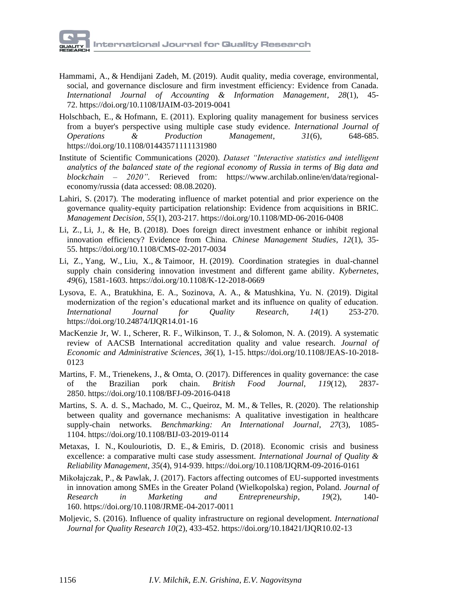- [Hammami, A.,](https://www.emerald.com/insight/search?q=Ahmad%20Hammami) & [Hendijani Zadeh, M.](https://www.emerald.com/insight/search?q=Mohammad%20Hendijani%20Zadeh) (2019). Audit quality, media coverage, environmental, social, and governance disclosure and firm investment efficiency: Evidence from Canada. *[International Journal of Accounting & Information Management,](https://www.emerald.com/insight/publication/issn/1834-7649) 28*(1), 45- 72. <https://doi.org/10.1108/IJAIM-03-2019-0041>
- [Holschbach, E.,](https://www.emerald.com/insight/search?q=Elmar%20Holschbach) & [Hofmann, E.](https://www.emerald.com/insight/search?q=Erik%20Hofmann) (2011). Exploring quality management for business services from a buyer's perspective using multiple case study evidence. *[International Journal of](https://www.emerald.com/insight/publication/issn/0144-3577)  [Operations & Production Management](https://www.emerald.com/insight/publication/issn/0144-3577)*, *31*(6), 648-685. https://doi.org/10.1108/01443571111131980
- Institute of Scientific Communications (2020). *[Dataset "Interactive statistics and intelligent](https://www.archilab.online/en/data/regional-economy)  [analytics of the balanced state of the regional economy of Russia in terms of Big data and](https://www.archilab.online/en/data/regional-economy)  [blockchain –](https://www.archilab.online/en/data/regional-economy) 2020".* Rerieved from: [https://www.archilab.online/en/data/regional](https://www.archilab.online/en/data/regional-economy/russia)[economy/russia](https://www.archilab.online/en/data/regional-economy/russia) (data accessed: 08.08.2020).
- [Lahiri, S.](https://www.emerald.com/insight/search?q=Somnath%20Lahiri) (2017). The moderating influence of market potential and prior experience on the governance quality-equity participation relationship: Evidence from acquisitions in BRIC. *[Management Decision](https://www.emerald.com/insight/publication/issn/0025-1747)*, *55*(1), 203-217. <https://doi.org/10.1108/MD-06-2016-0408>
- [Li, Z.,](https://www.emerald.com/insight/search?q=Zheng%20Li) [Li, J.,](https://www.emerald.com/insight/search?q=Jun%20Li) & [He, B.](https://www.emerald.com/insight/search?q=Bin%20He) (2018). Does foreign direct investment enhance or inhibit regional innovation efficiency? Evidence from China. *[Chinese Management Studies](https://www.emerald.com/insight/publication/issn/1750-614X)*, *12*(1), 35- 55. <https://doi.org/10.1108/CMS-02-2017-0034>
- [Li, Z.,](https://www.emerald.com/insight/search?q=Zonghuo%20Li) [Yang, W.,](https://www.emerald.com/insight/search?q=Wensheng%20Yang) [Liu, X.,](https://www.emerald.com/insight/search?q=Xiaohong%20Liu) & [Taimoor, H.](https://www.emerald.com/insight/search?q=Hassan%20Taimoor) (2019). Coordination strategies in dual-channel supply chain considering innovation investment and different game ability. *[Kybernetes](https://www.emerald.com/insight/publication/issn/0368-492X)*, *49*(6), 1581-1603. <https://doi.org/10.1108/K-12-2018-0669>
- Lysova, E. A., Bratukhina, E. A., Sozinova, A. A., & Matushkina, Yu. N. (2019). Digital modernization of the region's educational market and its influence on quality of education. *International Journal for Quality Research, 14*(1) 253-270. <https://doi.org/10.24874/IJQR14.01-16>
- [MacKenzie Jr, W. I.,](https://www.emerald.com/insight/search?q=William%20I.%20MacKenzie%20Jr) [Scherer, R. F.,](https://www.emerald.com/insight/search?q=Robert%20F.%20Scherer) [Wilkinson, T. J.,](https://www.emerald.com/insight/search?q=Timothy%20J.%20Wilkinson) & [Solomon, N. A.](https://www.emerald.com/insight/search?q=Norman%20A.%20Solomon) (2019). A systematic review of AACSB International accreditation quality and value research. *[Journal of](https://www.emerald.com/insight/publication/issn/1026-4116)  [Economic and Administrative Sciences](https://www.emerald.com/insight/publication/issn/1026-4116)*, *36*(1), 1-15. [https://doi.org/10.1108/JEAS-10-2018-](https://doi.org/10.1108/JEAS-10-2018-0123) [0123](https://doi.org/10.1108/JEAS-10-2018-0123)
- [Martins, F. M.,](https://www.emerald.com/insight/search?q=Franco%20M%C3%BCller%20Martins) [Trienekens, J.,](https://www.emerald.com/insight/search?q=Jacques%20Trienekens) & [Omta, O.](https://www.emerald.com/insight/search?q=Onno%20Omta) (2017). Differences in quality governance: the case of the Brazilian pork chain. *[British Food Journal](https://www.emerald.com/insight/publication/issn/0007-070X)*, *119*(12), 2837- 2850. <https://doi.org/10.1108/BFJ-09-2016-0418>
- [Martins, S. A. d. S.,](https://www.emerald.com/insight/search?q=Saturnina%20Alves%20da%20Silva%20Martins) [Machado, M. C.,](https://www.emerald.com/insight/search?q=Marcio%20C.%20Machado) [Queiroz, M. M.,](https://www.emerald.com/insight/search?q=Maciel%20M.%20Queiroz) & [Telles, R.](https://www.emerald.com/insight/search?q=Renato%20Telles) (2020). The relationship between quality and governance mechanisms: A qualitative investigation in healthcare supply-chain networks. *[Benchmarking: An International Journal](https://www.emerald.com/insight/publication/issn/1463-5771)*, *27*(3), 1085- 1104. <https://doi.org/10.1108/BIJ-03-2019-0114>
- [Metaxas,](https://www.emerald.com/insight/search?q=Ioannis%20N.%20Metaxas) I. N., [Koulouriotis, D. E.,](https://www.emerald.com/insight/search?q=Dimitrios%20E.%20Koulouriotis) & [Emiris, D.](https://www.emerald.com/insight/search?q=Dimitrios%20Emiris) (2018). Economic crisis and business excellence: a comparative multi case study assessment. *[International Journal of Quality &](https://www.emerald.com/insight/publication/issn/0265-671X)  [Reliability Management](https://www.emerald.com/insight/publication/issn/0265-671X)*, *35*(4), 914-939. <https://doi.org/10.1108/IJQRM-09-2016-0161>
- [Mikołajczak, P.,](https://www.emerald.com/insight/search?q=Pawe%C5%82%20Miko%C5%82ajczak) & [Pawlak, J.](https://www.emerald.com/insight/search?q=Jacek%20Pawlak) (2017). Factors affecting outcomes of EU-supported investments in innovation among SMEs in the Greater Poland (Wielkopolska) region, Poland. *[Journal of](https://www.emerald.com/insight/publication/issn/1471-5201)  [Research in Marketing and Entrepreneurship](https://www.emerald.com/insight/publication/issn/1471-5201)*, *19*(2), 140- 160. <https://doi.org/10.1108/JRME-04-2017-0011>
- Moljevic, S. (2016). Influence of quality infrastructure on regional development. *International Journal for Quality Research 10*(2), 433-452. https://doi.org/10.18421/IJQR10.02-13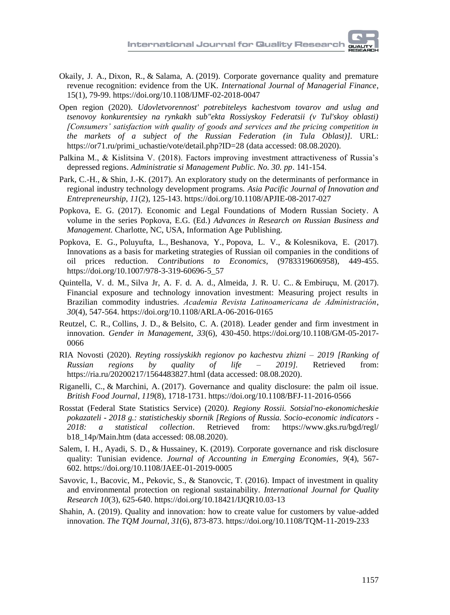- [Okaily, J. A.,](https://www.emerald.com/insight/search?q=Jihad%20Al%20Okaily) [Dixon, R.,](https://www.emerald.com/insight/search?q=Rob%20Dixon) & [Salama, A.](https://www.emerald.com/insight/search?q=Aly%20Salama) (2019). Corporate governance quality and premature revenue recognition: evidence from the UK. *[International Journal of Managerial Finance](https://www.emerald.com/insight/publication/issn/1743-9132)*, 15(1), 79-99. <https://doi.org/10.1108/IJMF-02-2018-0047>
- Open region (2020). *Udovletvorennost' potrebiteleys kachestvom tovarov and uslug and tsenovoy konkurentsiey na rynkakh sub"ekta Rossiyskoy Federatsii (v Tul'skoy oblasti) [Consumers' satisfaction with quality of goods and services and the pricing competition in the markets of a subject of the Russian Federation (in Tula Oblast)].* URL: [https://or71.ru/primi\\_uchastie/vote/detail.php?ID=28](https://or71.ru/primi_uchastie/vote/detail.php?ID=28) (data accessed: 08.08.2020).
- Palkina M., & Kislitsina V. (2018). Factors improving investment attractiveness of Russia's depressed regions. *Administratie si Management Public. No. 30. pp*. 141-154.
- [Park, C.-H.,](https://www.emerald.com/insight/search?q=Choo-Hui%20Park) & [Shin, J.-K.](https://www.emerald.com/insight/search?q=Jin-Kyo%20Shin) (2017). An exploratory study on the determinants of performance in regional industry technology development programs. *[Asia Pacific Journal of Innovation and](https://www.emerald.com/insight/publication/issn/2398-7812)  [Entrepreneurship](https://www.emerald.com/insight/publication/issn/2398-7812)*, *11*(2), 125-143. <https://doi.org/10.1108/APJIE-08-2017-027>
- Popkova, E. G. (2017). Economic and Legal Foundations of Modern Russian Society. A volume in the series Popkova, E.G. (Ed.) *Advances in Research [on Russian Business and](https://www.infoagepub.com/series/Advances-in-Research-on-Russian-Business-and-Management)  [Management.](https://www.infoagepub.com/series/Advances-in-Research-on-Russian-Business-and-Management)* Charlotte, NC, USA, Information Age Publishing.
- [Popkova, E. G.,](https://proxylibrary.hse.ru:2073/authid/detail.uri?origin=resultslist&authorId=55671568200&zone=) [Poluyufta, L.,](https://proxylibrary.hse.ru:2073/authid/detail.uri?origin=resultslist&authorId=56835750500&zone=) [Beshanova, Y.,](https://proxylibrary.hse.ru:2073/authid/detail.uri?origin=resultslist&authorId=57195717040&zone=) [Popova, L. V.,](https://proxylibrary.hse.ru:2073/authid/detail.uri?origin=resultslist&authorId=57119051300&zone=) & [Kolesnikova, E.](https://proxylibrary.hse.ru:2073/authid/detail.uri?origin=resultslist&authorId=57195716320&zone=) (2017). [Innovations as a basis for marketing strategies of Russian](https://proxylibrary.hse.ru:2073/record/display.uri?eid=2-s2.0-85029601023&origin=resultslist&sort=plf-f&src=s&st1=Popkova+E.G.&nlo=&nlr=&nls=&sid=16bba25f3ee0c4a39034bfe69c78f644&sot=b&sdt=b&sl=25&s=AUTHOR-NAME%28Popkova+E.G.%29&relpos=58&citeCnt=1&searchTerm=) oil companies in the conditions of [oil prices reduction.](https://proxylibrary.hse.ru:2073/record/display.uri?eid=2-s2.0-85029601023&origin=resultslist&sort=plf-f&src=s&st1=Popkova+E.G.&nlo=&nlr=&nls=&sid=16bba25f3ee0c4a39034bfe69c78f644&sot=b&sdt=b&sl=25&s=AUTHOR-NAME%28Popkova+E.G.%29&relpos=58&citeCnt=1&searchTerm=) *[Contributions to Economics,](https://proxylibrary.hse.ru:2073/sourceid/91803?origin=resultslist)* (9783319606958), 449-455. https://doi.org[/10.1007/978-3-319-60696-5\\_57](https://doi.org/10.1007/978-3-319-60696-5_57)
- [Quintella, V. d. M.,](https://www.emerald.com/insight/search?q=Vitor%20da%20Mata%20Quintella) [Silva Jr, A. F. d. A. d.,](https://www.emerald.com/insight/search?q=Ant%C3%B4nio%20Francisco%20de%20Almeida%20da%20Silva%20Jr) [Almeida, J. R. U. C..](https://www.emerald.com/insight/search?q=Jose%20Ricardo%20Uchoa%20Cavalcanti%20Almeida) & [Embiruçu, M.](https://www.emerald.com/insight/search?q=Marcelo%20Embiru%C3%A7u) (2017). Financial exposure and technology innovation investment: Measuring project results in Brazilian commodity industries. *[Academia Revista Latinoamericana de Administración](https://www.emerald.com/insight/publication/issn/1012-8255)*, *30*(4), 547-564. <https://doi.org/10.1108/ARLA-06-2016-0165>
- [Reutzel, C. R.,](https://www.emerald.com/insight/search?q=Christopher%20R.%20Reutzel) [Collins, J. D.,](https://www.emerald.com/insight/search?q=Jamie%20D.%20Collins) & [Belsito, C. A.](https://www.emerald.com/insight/search?q=Carrie%20A.%20Belsito) (2018). Leader gender and firm investment in innovation. *[Gender in Management](https://www.emerald.com/insight/publication/issn/1754-2413)*, *33*(6), 430-450. [https://doi.org/10.1108/GM-05-2017-](https://doi.org/10.1108/GM-05-2017-0066) [0066](https://doi.org/10.1108/GM-05-2017-0066)
- RIA Novosti (2020). *Reyting rossiyskikh regionov po kachestvu zhizni – 2019 [Ranking of Russian regions by quality of life – 2019].* Retrieved from: https://ria.ru/20200217/1564483827.html (data accessed: 08.08.2020).
- [Riganelli, C.,](https://www.emerald.com/insight/search?q=Chiara%20Riganelli) & [Marchini, A.](https://www.emerald.com/insight/search?q=Andrea%20Marchini) (2017). Governance and quality disclosure: the palm oil issue. *[British Food Journal](https://www.emerald.com/insight/publication/issn/0007-070X)*, *119*(8), 1718-1731. <https://doi.org/10.1108/BFJ-11-2016-0566>
- Rosstat (Federal State Statistics Service) (2020*). Regiony Rossii. Sotsial'no-ekonomicheskie pokazateli - 2018 g.: statisticheskiy sbornik [Regions of Russia. Socio-economic indicators - 2018: a statistical collection*. Retrieved from: https://www.gks.ru/bgd/regl/ b18\_14p/Main.htm (data accessed: 08.08.2020).
- [Salem, I. H.,](https://www.emerald.com/insight/search?q=Issal%20Haj%20Salem) [Ayadi, S. D.,](https://www.emerald.com/insight/search?q=Salma%20Damak%20Ayadi) & [Hussainey, K.](https://www.emerald.com/insight/search?q=Khaled%20Hussainey) (2019). Corporate governance and risk disclosure quality: Tunisian evidence. *[Journal of Accounting in Emerging Economies](https://www.emerald.com/insight/publication/issn/2042-1168)*, *9*(4), 567- 602. <https://doi.org/10.1108/JAEE-01-2019-0005>
- Savovic, I., Bacovic, M., Pekovic, S., & Stanovcic, T. (2016). Impact of investment in quality and environmental protection on regional sustainability. *International Journal for Quality Research 10*(3), 625-640. https://doi.org/10.18421/IJQR10.03-13
- Shahin, A. (2019). Quality and innovation: how to create value for customers by value-added innovation. *The TQM Journal, 31*(6), 873-873.<https://doi.org/10.1108/TQM-11-2019-233>